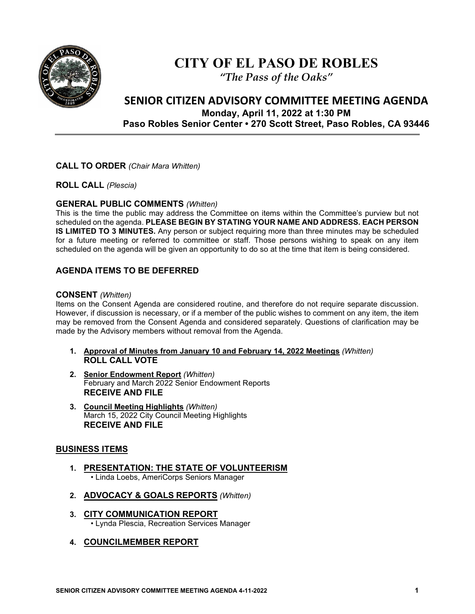

# **CITY OF EL PASO DE ROBLES**

*"The Pass of the Oaks"*

# **SENIOR CITIZEN ADVISORY COMMITTEE MEETING AGENDA Monday, April 11, 2022 at 1:30 PM Paso Robles Senior Center • 270 Scott Street, Paso Robles, CA 93446**

### **CALL TO ORDER** *(Chair Mara Whitten)*

**ROLL CALL** *(Plescia)*

#### **GENERAL PUBLIC COMMENTS** *(Whitten)*

This is the time the public may address the Committee on items within the Committee's purview but not scheduled on the agenda. **PLEASE BEGIN BY STATING YOUR NAME AND ADDRESS. EACH PERSON IS LIMITED TO 3 MINUTES.** Any person or subject requiring more than three minutes may be scheduled for a future meeting or referred to committee or staff. Those persons wishing to speak on any item scheduled on the agenda will be given an opportunity to do so at the time that item is being considered.

# **AGENDA ITEMS TO BE DEFERRED**

#### **CONSENT** *(Whitten)*

Items on the Consent Agenda are considered routine, and therefore do not require separate discussion. However, if discussion is necessary, or if a member of the public wishes to comment on any item, the item may be removed from the Consent Agenda and considered separately. Questions of clarification may be made by the Advisory members without removal from the Agenda.

- **1. Approval of Minutes from January 10 and February 14, 2022 Meetings** *(Whitten)*  **ROLL CALL VOTE**
- **2. Senior Endowment Report** *(Whitten)* February and March 2022 Senior Endowment Reports **RECEIVE AND FILE**
- **3. Council Meeting Highlights** *(Whitten)* March 15, 2022 City Council Meeting Highlights **RECEIVE AND FILE**

#### **BUSINESS ITEMS**

- **1. PRESENTATION: THE STATE OF VOLUNTEERISM** • Linda Loebs, AmeriCorps Seniors Manager
- **2. ADVOCACY & GOALS REPORTS** *(Whitten)*
- **3. CITY COMMUNICATION REPORT** • Lynda Plescia, Recreation Services Manager
- **4. COUNCILMEMBER REPORT**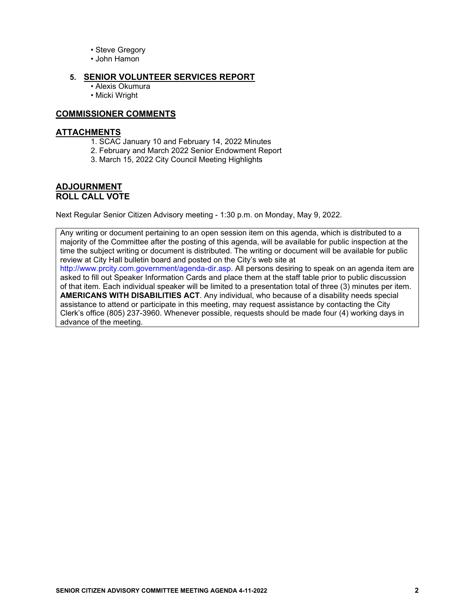- Steve Gregory
- John Hamon

#### **5. SENIOR VOLUNTEER SERVICES REPORT**

- Alexis Okumura
- Micki Wright

#### **COMMISSIONER COMMENTS**

#### **ATTACHMENTS**

- 1. SCAC January 10 and February 14, 2022 Minutes
- 2. February and March 2022 Senior Endowment Report
- 3. March 15, 2022 City Council Meeting Highlights

#### **ADJOURNMENT ROLL CALL VOTE**

Next Regular Senior Citizen Advisory meeting - 1:30 p.m. on Monday, May 9, 2022.

Any writing or document pertaining to an open session item on this agenda, which is distributed to a majority of the Committee after the posting of this agenda, will be available for public inspection at the time the subject writing or document is distributed. The writing or document will be available for public review at City Hall bulletin board and posted on the City's web site at http://www.prcity.com.government/agenda-dir.asp. All persons desiring to speak on an agenda item are asked to fill out Speaker Information Cards and place them at the staff table prior to public discussion of that item. Each individual speaker will be limited to a presentation total of three (3) minutes per item. **AMERICANS WITH DISABILITIES ACT**. Any individual, who because of a disability needs special assistance to attend or participate in this meeting, may request assistance by contacting the City Clerk's office (805) 237-3960. Whenever possible, requests should be made four (4) working days in advance of the meeting.